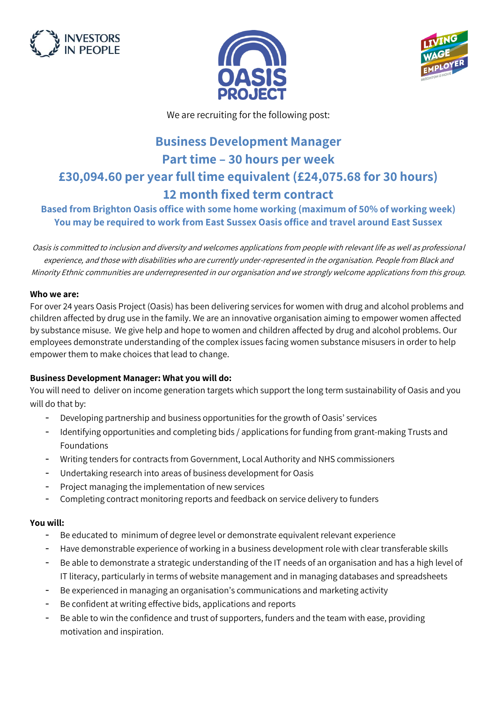





We are recruiting for the following post:

# **Business Development Manager Part time – 30 hours per week £30,094.60 per year full time equivalent (£24,075.68 for 30 hours) 12 month fixed term contract**

# **Based from Brighton Oasis office with some home working (maximum of 50% of working week) You may be required to work from East Sussex Oasis office and travel around East Sussex**

Oasis is committed to inclusion and diversity and welcomes applications from people with relevant life as well as professional experience, and those with disabilities who are currently under-represented in the organisation. People from Black and Minority Ethnic communities are underrepresented in our organisation and we strongly welcome applications from this group.

#### **Who we are:**

For over 24 years Oasis Project (Oasis) has been delivering services for women with drug and alcohol problems and children affected by drug use in the family. We are an innovative organisation aiming to empower women affected by substance misuse. We give help and hope to women and children affected by drug and alcohol problems. Our employees demonstrate understanding of the complex issues facing women substance misusers in order to help empower them to make choices that lead to change.

## **Business Development Manager: What you will do:**

You will need to deliver on income generation targets which support the long term sustainability of Oasis and you will do that by:

- Developing partnership and business opportunities for the growth of Oasis' services
- Identifying opportunities and completing bids / applications for funding from grant-making Trusts and Foundations
- Writing tenders for contracts from Government, Local Authority and NHS commissioners
- Undertaking research into areas of business development for Oasis
- Project managing the implementation of new services
- Completing contract monitoring reports and feedback on service delivery to funders

## **You will:**

- Be educated to minimum of degree level or demonstrate equivalent relevant experience
- Have demonstrable experience of working in a business development role with clear transferable skills
- Be able to demonstrate a strategic understanding of the IT needs of an organisation and has a high level of IT literacy, particularly in terms of website management and in managing databases and spreadsheets
- Be experienced in managing an organisation's communications and marketing activity
- Be confident at writing effective bids, applications and reports
- Be able to win the confidence and trust of supporters, funders and the team with ease, providing motivation and inspiration.